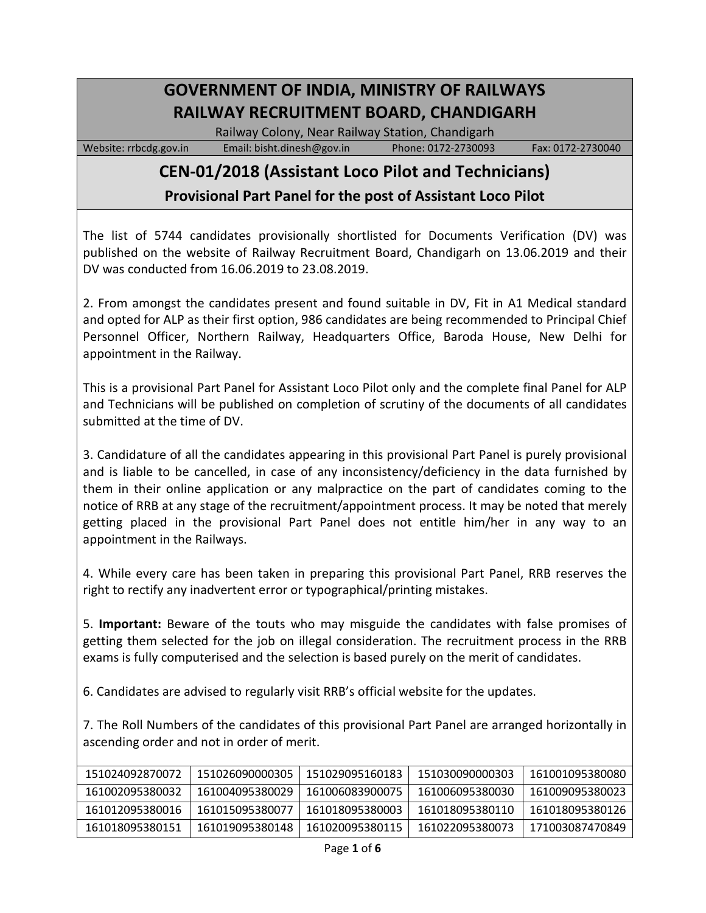## **GOVERNMENT OF INDIA, MINISTRY OF RAILWAYS RAILWAY RECRUITMENT BOARD, CHANDIGARH**

Railway Colony, Near Railway Station, Chandigarh

Website: rrbcdg.gov.in Email[: bisht.dinesh@gov.in](mailto:bisht.dinesh@gov.in) Phone: 0172-2730093 Fax: 0172-2730040

## **CEN-01/2018 (Assistant Loco Pilot and Technicians)**

**Provisional Part Panel for the post of Assistant Loco Pilot**

The list of 5744 candidates provisionally shortlisted for Documents Verification (DV) was published on the website of Railway Recruitment Board, Chandigarh on 13.06.2019 and their DV was conducted from 16.06.2019 to 23.08.2019.

2. From amongst the candidates present and found suitable in DV, Fit in A1 Medical standard and opted for ALP as their first option, 986 candidates are being recommended to Principal Chief Personnel Officer, Northern Railway, Headquarters Office, Baroda House, New Delhi for appointment in the Railway.

This is a provisional Part Panel for Assistant Loco Pilot only and the complete final Panel for ALP and Technicians will be published on completion of scrutiny of the documents of all candidates submitted at the time of DV.

3. Candidature of all the candidates appearing in this provisional Part Panel is purely provisional and is liable to be cancelled, in case of any inconsistency/deficiency in the data furnished by them in their online application or any malpractice on the part of candidates coming to the notice of RRB at any stage of the recruitment/appointment process. It may be noted that merely getting placed in the provisional Part Panel does not entitle him/her in any way to an appointment in the Railways.

4. While every care has been taken in preparing this provisional Part Panel, RRB reserves the right to rectify any inadvertent error or typographical/printing mistakes.

5. **Important:** Beware of the touts who may misguide the candidates with false promises of getting them selected for the job on illegal consideration. The recruitment process in the RRB exams is fully computerised and the selection is based purely on the merit of candidates.

6. Candidates are advised to regularly visit RRB's official website for the updates.

7. The Roll Numbers of the candidates of this provisional Part Panel are arranged horizontally in ascending order and not in order of merit.

| 151024092870072 | 151026090000305 | 151029095160183 | 151030090000303 | 161001095380080 |
|-----------------|-----------------|-----------------|-----------------|-----------------|
| 161002095380032 | 161004095380029 | 161006083900075 | 161006095380030 | 161009095380023 |
| 161012095380016 | 161015095380077 | 161018095380003 | 161018095380110 | 161018095380126 |
| 161018095380151 | 161019095380148 | 161020095380115 | 161022095380073 | 171003087470849 |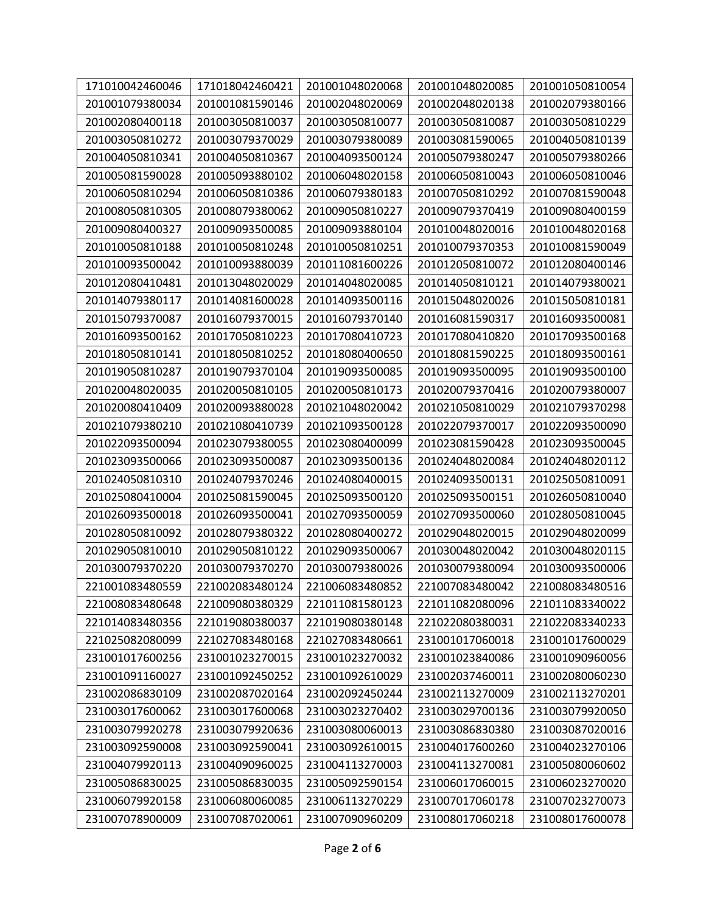| 171010042460046 | 171018042460421 | 201001048020068 | 201001048020085 | 201001050810054 |
|-----------------|-----------------|-----------------|-----------------|-----------------|
| 201001079380034 | 201001081590146 | 201002048020069 | 201002048020138 | 201002079380166 |
| 201002080400118 | 201003050810037 | 201003050810077 | 201003050810087 | 201003050810229 |
| 201003050810272 | 201003079370029 | 201003079380089 | 201003081590065 | 201004050810139 |
| 201004050810341 | 201004050810367 | 201004093500124 | 201005079380247 | 201005079380266 |
| 201005081590028 | 201005093880102 | 201006048020158 | 201006050810043 | 201006050810046 |
| 201006050810294 | 201006050810386 | 201006079380183 | 201007050810292 | 201007081590048 |
| 201008050810305 | 201008079380062 | 201009050810227 | 201009079370419 | 201009080400159 |
| 201009080400327 | 201009093500085 | 201009093880104 | 201010048020016 | 201010048020168 |
| 201010050810188 | 201010050810248 | 201010050810251 | 201010079370353 | 201010081590049 |
| 201010093500042 | 201010093880039 | 201011081600226 | 201012050810072 | 201012080400146 |
| 201012080410481 | 201013048020029 | 201014048020085 | 201014050810121 | 201014079380021 |
| 201014079380117 | 201014081600028 | 201014093500116 | 201015048020026 | 201015050810181 |
| 201015079370087 | 201016079370015 | 201016079370140 | 201016081590317 | 201016093500081 |
| 201016093500162 | 201017050810223 | 201017080410723 | 201017080410820 | 201017093500168 |
| 201018050810141 | 201018050810252 | 201018080400650 | 201018081590225 | 201018093500161 |
| 201019050810287 | 201019079370104 | 201019093500085 | 201019093500095 | 201019093500100 |
| 201020048020035 | 201020050810105 | 201020050810173 | 201020079370416 | 201020079380007 |
| 201020080410409 | 201020093880028 | 201021048020042 | 201021050810029 | 201021079370298 |
| 201021079380210 | 201021080410739 | 201021093500128 | 201022079370017 | 201022093500090 |
| 201022093500094 | 201023079380055 | 201023080400099 | 201023081590428 | 201023093500045 |
| 201023093500066 | 201023093500087 | 201023093500136 | 201024048020084 | 201024048020112 |
| 201024050810310 | 201024079370246 | 201024080400015 | 201024093500131 | 201025050810091 |
| 201025080410004 | 201025081590045 | 201025093500120 | 201025093500151 | 201026050810040 |
| 201026093500018 | 201026093500041 | 201027093500059 | 201027093500060 | 201028050810045 |
| 201028050810092 | 201028079380322 | 201028080400272 | 201029048020015 | 201029048020099 |
| 201029050810010 | 201029050810122 | 201029093500067 | 201030048020042 | 201030048020115 |
| 201030079370220 | 201030079370270 | 201030079380026 | 201030079380094 | 201030093500006 |
| 221001083480559 | 221002083480124 | 221006083480852 | 221007083480042 | 221008083480516 |
| 221008083480648 | 221009080380329 | 221011081580123 | 221011082080096 | 221011083340022 |
| 221014083480356 | 221019080380037 | 221019080380148 | 221022080380031 | 221022083340233 |
| 221025082080099 | 221027083480168 | 221027083480661 | 231001017060018 | 231001017600029 |
| 231001017600256 | 231001023270015 | 231001023270032 | 231001023840086 | 231001090960056 |
| 231001091160027 | 231001092450252 | 231001092610029 | 231002037460011 | 231002080060230 |
| 231002086830109 | 231002087020164 | 231002092450244 | 231002113270009 | 231002113270201 |
| 231003017600062 | 231003017600068 | 231003023270402 | 231003029700136 | 231003079920050 |
| 231003079920278 | 231003079920636 | 231003080060013 | 231003086830380 | 231003087020016 |
| 231003092590008 | 231003092590041 | 231003092610015 | 231004017600260 | 231004023270106 |
| 231004079920113 | 231004090960025 | 231004113270003 | 231004113270081 | 231005080060602 |
| 231005086830025 | 231005086830035 | 231005092590154 | 231006017060015 | 231006023270020 |
| 231006079920158 | 231006080060085 | 231006113270229 | 231007017060178 | 231007023270073 |
| 231007078900009 | 231007087020061 | 231007090960209 | 231008017060218 | 231008017600078 |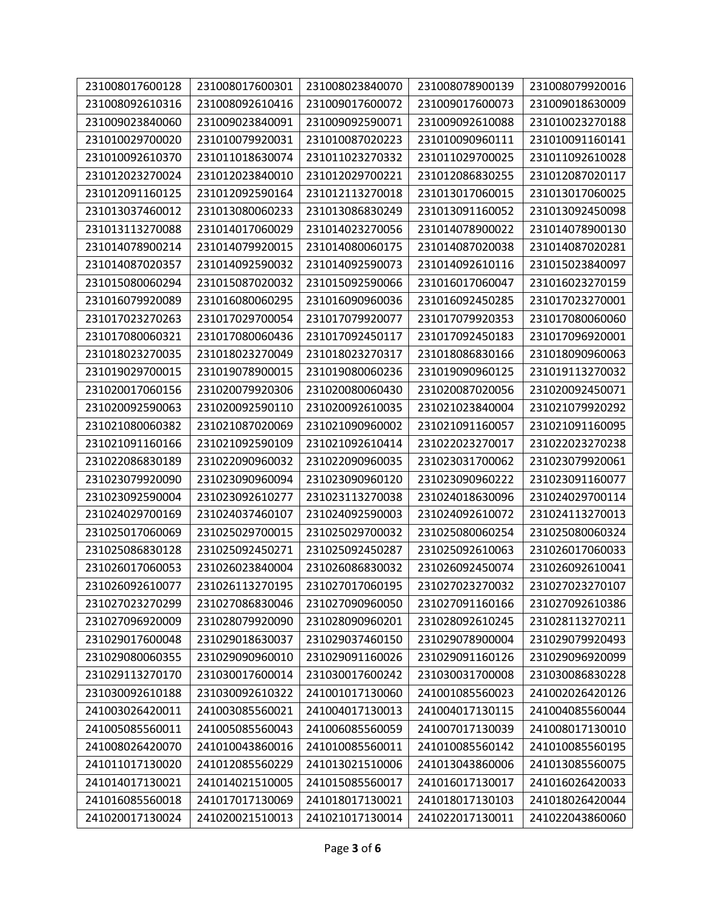| 231008017600128 | 231008017600301 | 231008023840070 | 231008078900139 | 231008079920016 |
|-----------------|-----------------|-----------------|-----------------|-----------------|
| 231008092610316 | 231008092610416 | 231009017600072 | 231009017600073 | 231009018630009 |
| 231009023840060 | 231009023840091 | 231009092590071 | 231009092610088 | 231010023270188 |
| 231010029700020 | 231010079920031 | 231010087020223 | 231010090960111 | 231010091160141 |
| 231010092610370 | 231011018630074 | 231011023270332 | 231011029700025 | 231011092610028 |
|                 |                 |                 |                 |                 |
| 231012023270024 | 231012023840010 | 231012029700221 | 231012086830255 | 231012087020117 |
| 231012091160125 | 231012092590164 | 231012113270018 | 231013017060015 | 231013017060025 |
| 231013037460012 | 231013080060233 | 231013086830249 | 231013091160052 | 231013092450098 |
| 231013113270088 | 231014017060029 | 231014023270056 | 231014078900022 | 231014078900130 |
| 231014078900214 | 231014079920015 | 231014080060175 | 231014087020038 | 231014087020281 |
| 231014087020357 | 231014092590032 | 231014092590073 | 231014092610116 | 231015023840097 |
| 231015080060294 | 231015087020032 | 231015092590066 | 231016017060047 | 231016023270159 |
| 231016079920089 | 231016080060295 | 231016090960036 | 231016092450285 | 231017023270001 |
| 231017023270263 | 231017029700054 | 231017079920077 | 231017079920353 | 231017080060060 |
| 231017080060321 | 231017080060436 | 231017092450117 | 231017092450183 | 231017096920001 |
| 231018023270035 | 231018023270049 | 231018023270317 | 231018086830166 | 231018090960063 |
| 231019029700015 | 231019078900015 | 231019080060236 | 231019090960125 | 231019113270032 |
| 231020017060156 | 231020079920306 | 231020080060430 | 231020087020056 | 231020092450071 |
| 231020092590063 | 231020092590110 | 231020092610035 | 231021023840004 | 231021079920292 |
| 231021080060382 | 231021087020069 | 231021090960002 | 231021091160057 | 231021091160095 |
| 231021091160166 | 231021092590109 | 231021092610414 | 231022023270017 | 231022023270238 |
| 231022086830189 | 231022090960032 | 231022090960035 | 231023031700062 | 231023079920061 |
| 231023079920090 | 231023090960094 | 231023090960120 | 231023090960222 | 231023091160077 |
| 231023092590004 | 231023092610277 | 231023113270038 | 231024018630096 | 231024029700114 |
| 231024029700169 | 231024037460107 | 231024092590003 | 231024092610072 | 231024113270013 |
| 231025017060069 | 231025029700015 | 231025029700032 | 231025080060254 | 231025080060324 |
| 231025086830128 | 231025092450271 | 231025092450287 | 231025092610063 | 231026017060033 |
| 231026017060053 | 231026023840004 | 231026086830032 | 231026092450074 | 231026092610041 |
| 231026092610077 | 231026113270195 | 231027017060195 | 231027023270032 | 231027023270107 |
| 231027023270299 | 231027086830046 | 231027090960050 | 231027091160166 | 231027092610386 |
| 231027096920009 | 231028079920090 | 231028090960201 | 231028092610245 | 231028113270211 |
| 231029017600048 | 231029018630037 | 231029037460150 | 231029078900004 | 231029079920493 |
| 231029080060355 | 231029090960010 | 231029091160026 | 231029091160126 | 231029096920099 |
| 231029113270170 | 231030017600014 | 231030017600242 | 231030031700008 | 231030086830228 |
| 231030092610188 | 231030092610322 | 241001017130060 | 241001085560023 | 241002026420126 |
| 241003026420011 | 241003085560021 | 241004017130013 | 241004017130115 | 241004085560044 |
| 241005085560011 | 241005085560043 | 241006085560059 | 241007017130039 | 241008017130010 |
| 241008026420070 | 241010043860016 | 241010085560011 | 241010085560142 | 241010085560195 |
| 241011017130020 | 241012085560229 | 241013021510006 | 241013043860006 | 241013085560075 |
| 241014017130021 | 241014021510005 | 241015085560017 | 241016017130017 | 241016026420033 |
| 241016085560018 | 241017017130069 | 241018017130021 | 241018017130103 | 241018026420044 |
|                 |                 |                 |                 |                 |
| 241020017130024 | 241020021510013 | 241021017130014 | 241022017130011 | 241022043860060 |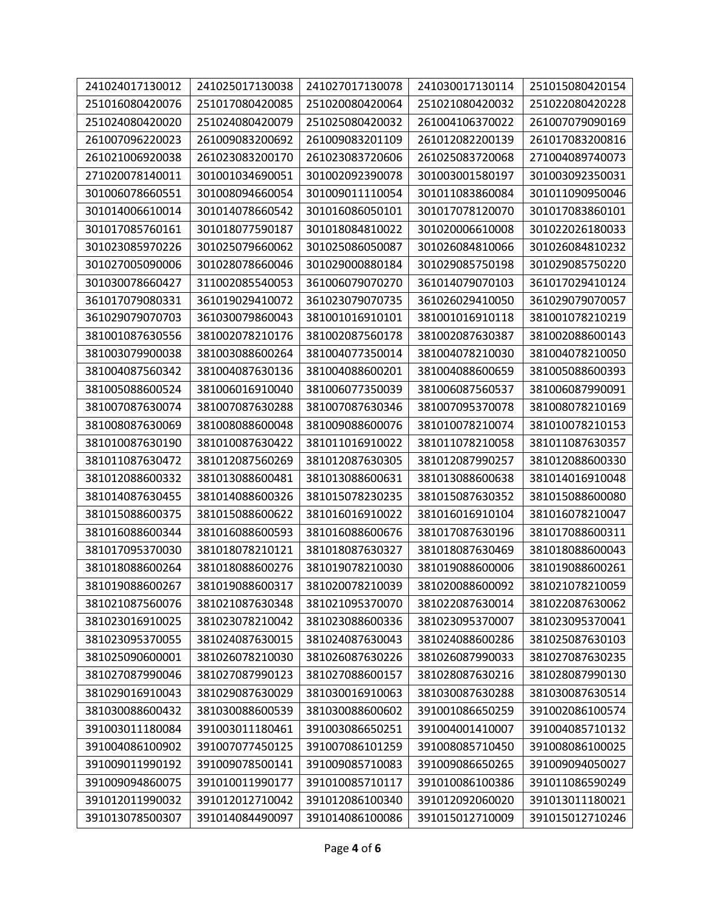| 241024017130012 | 241025017130038 | 241027017130078 | 241030017130114 | 251015080420154 |
|-----------------|-----------------|-----------------|-----------------|-----------------|
| 251016080420076 | 251017080420085 | 251020080420064 | 251021080420032 | 251022080420228 |
| 251024080420020 | 251024080420079 | 251025080420032 | 261004106370022 | 261007079090169 |
| 261007096220023 | 261009083200692 | 261009083201109 | 261012082200139 | 261017083200816 |
| 261021006920038 | 261023083200170 | 261023083720606 | 261025083720068 | 271004089740073 |
| 271020078140011 | 301001034690051 | 301002092390078 | 301003001580197 | 301003092350031 |
| 301006078660551 | 301008094660054 | 301009011110054 | 301011083860084 | 301011090950046 |
| 301014006610014 | 301014078660542 | 301016086050101 | 301017078120070 | 301017083860101 |
| 301017085760161 | 301018077590187 | 301018084810022 | 301020006610008 | 301022026180033 |
| 301023085970226 | 301025079660062 | 301025086050087 | 301026084810066 | 301026084810232 |
| 301027005090006 | 301028078660046 | 301029000880184 | 301029085750198 | 301029085750220 |
| 301030078660427 | 311002085540053 | 361006079070270 | 361014079070103 | 361017029410124 |
| 361017079080331 | 361019029410072 | 361023079070735 | 361026029410050 | 361029079070057 |
| 361029079070703 | 361030079860043 | 381001016910101 | 381001016910118 | 381001078210219 |
| 381001087630556 | 381002078210176 | 381002087560178 | 381002087630387 | 381002088600143 |
| 381003079900038 | 381003088600264 | 381004077350014 | 381004078210030 | 381004078210050 |
| 381004087560342 | 381004087630136 | 381004088600201 | 381004088600659 | 381005088600393 |
| 381005088600524 | 381006016910040 | 381006077350039 | 381006087560537 | 381006087990091 |
| 381007087630074 | 381007087630288 | 381007087630346 | 381007095370078 | 381008078210169 |
| 381008087630069 | 381008088600048 | 381009088600076 | 381010078210074 | 381010078210153 |
| 381010087630190 | 381010087630422 | 381011016910022 | 381011078210058 | 381011087630357 |
| 381011087630472 | 381012087560269 | 381012087630305 | 381012087990257 | 381012088600330 |
| 381012088600332 | 381013088600481 | 381013088600631 | 381013088600638 | 381014016910048 |
| 381014087630455 | 381014088600326 | 381015078230235 | 381015087630352 | 381015088600080 |
| 381015088600375 | 381015088600622 | 381016016910022 | 381016016910104 | 381016078210047 |
| 381016088600344 | 381016088600593 | 381016088600676 | 381017087630196 | 381017088600311 |
| 381017095370030 | 381018078210121 | 381018087630327 | 381018087630469 | 381018088600043 |
| 381018088600264 | 381018088600276 | 381019078210030 | 381019088600006 | 381019088600261 |
| 381019088600267 | 381019088600317 | 381020078210039 | 381020088600092 | 381021078210059 |
| 381021087560076 | 381021087630348 | 381021095370070 | 381022087630014 | 381022087630062 |
| 381023016910025 | 381023078210042 | 381023088600336 | 381023095370007 | 381023095370041 |
| 381023095370055 | 381024087630015 | 381024087630043 | 381024088600286 | 381025087630103 |
| 381025090600001 | 381026078210030 | 381026087630226 | 381026087990033 | 381027087630235 |
| 381027087990046 | 381027087990123 | 381027088600157 | 381028087630216 | 381028087990130 |
| 381029016910043 | 381029087630029 | 381030016910063 | 381030087630288 | 381030087630514 |
| 381030088600432 | 381030088600539 | 381030088600602 | 391001086650259 | 391002086100574 |
| 391003011180084 | 391003011180461 | 391003086650251 | 391004001410007 | 391004085710132 |
| 391004086100902 | 391007077450125 | 391007086101259 | 391008085710450 | 391008086100025 |
| 391009011990192 | 391009078500141 | 391009085710083 | 391009086650265 | 391009094050027 |
| 391009094860075 | 391010011990177 | 391010085710117 | 391010086100386 | 391011086590249 |
| 391012011990032 | 391012012710042 | 391012086100340 | 391012092060020 | 391013011180021 |
| 391013078500307 | 391014084490097 | 391014086100086 | 391015012710009 | 391015012710246 |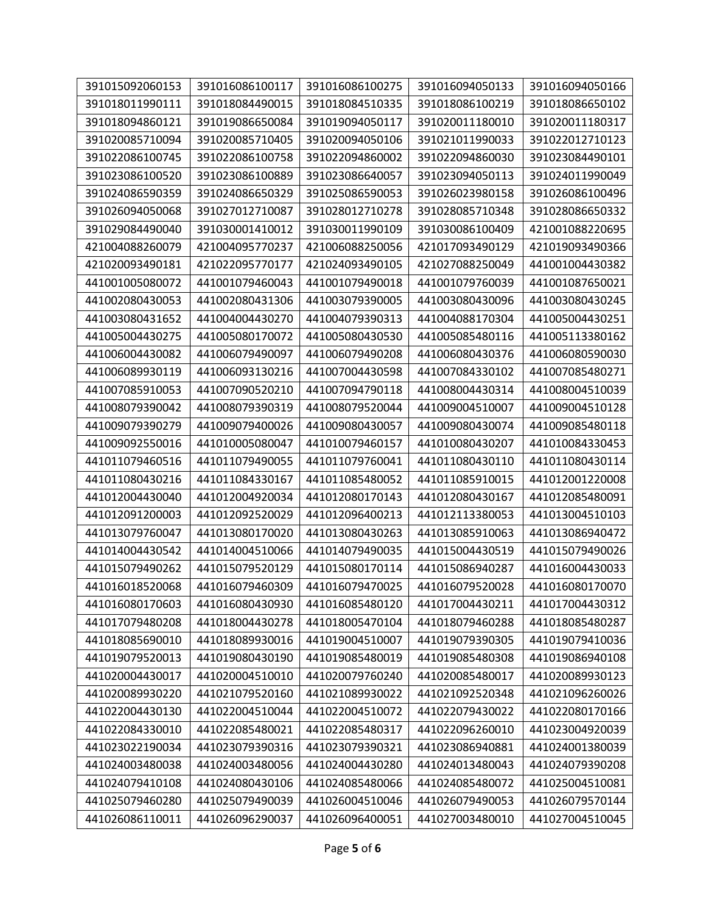| 391015092060153 | 391016086100117 | 391016086100275 | 391016094050133 | 391016094050166 |
|-----------------|-----------------|-----------------|-----------------|-----------------|
| 391018011990111 | 391018084490015 | 391018084510335 | 391018086100219 | 391018086650102 |
| 391018094860121 | 391019086650084 | 391019094050117 | 391020011180010 | 391020011180317 |
| 391020085710094 | 391020085710405 | 391020094050106 | 391021011990033 | 391022012710123 |
| 391022086100745 | 391022086100758 | 391022094860002 | 391022094860030 | 391023084490101 |
| 391023086100520 | 391023086100889 | 391023086640057 | 391023094050113 | 391024011990049 |
| 391024086590359 | 391024086650329 | 391025086590053 | 391026023980158 | 391026086100496 |
| 391026094050068 | 391027012710087 | 391028012710278 | 391028085710348 | 391028086650332 |
| 391029084490040 | 391030001410012 | 391030011990109 | 391030086100409 | 421001088220695 |
| 421004088260079 | 421004095770237 | 421006088250056 | 421017093490129 | 421019093490366 |
| 421020093490181 | 421022095770177 | 421024093490105 | 421027088250049 | 441001004430382 |
| 441001005080072 | 441001079460043 | 441001079490018 | 441001079760039 | 441001087650021 |
| 441002080430053 | 441002080431306 | 441003079390005 | 441003080430096 | 441003080430245 |
| 441003080431652 | 441004004430270 | 441004079390313 | 441004088170304 | 441005004430251 |
| 441005004430275 | 441005080170072 | 441005080430530 | 441005085480116 | 441005113380162 |
| 441006004430082 | 441006079490097 | 441006079490208 | 441006080430376 | 441006080590030 |
| 441006089930119 | 441006093130216 | 441007004430598 | 441007084330102 | 441007085480271 |
| 441007085910053 | 441007090520210 | 441007094790118 | 441008004430314 | 441008004510039 |
| 441008079390042 | 441008079390319 | 441008079520044 | 441009004510007 | 441009004510128 |
| 441009079390279 | 441009079400026 | 441009080430057 | 441009080430074 | 441009085480118 |
| 441009092550016 | 441010005080047 | 441010079460157 | 441010080430207 | 441010084330453 |
| 441011079460516 | 441011079490055 | 441011079760041 | 441011080430110 | 441011080430114 |
| 441011080430216 | 441011084330167 | 441011085480052 | 441011085910015 | 441012001220008 |
| 441012004430040 | 441012004920034 | 441012080170143 | 441012080430167 | 441012085480091 |
| 441012091200003 | 441012092520029 | 441012096400213 | 441012113380053 | 441013004510103 |
| 441013079760047 | 441013080170020 | 441013080430263 | 441013085910063 | 441013086940472 |
| 441014004430542 | 441014004510066 | 441014079490035 | 441015004430519 | 441015079490026 |
| 441015079490262 | 441015079520129 | 441015080170114 | 441015086940287 | 441016004430033 |
| 441016018520068 | 441016079460309 | 441016079470025 | 441016079520028 | 441016080170070 |
| 441016080170603 | 441016080430930 | 441016085480120 | 441017004430211 | 441017004430312 |
| 441017079480208 | 441018004430278 | 441018005470104 | 441018079460288 | 441018085480287 |
| 441018085690010 | 441018089930016 | 441019004510007 | 441019079390305 | 441019079410036 |
| 441019079520013 | 441019080430190 | 441019085480019 | 441019085480308 | 441019086940108 |
| 441020004430017 | 441020004510010 | 441020079760240 | 441020085480017 | 441020089930123 |
| 441020089930220 | 441021079520160 | 441021089930022 | 441021092520348 | 441021096260026 |
| 441022004430130 | 441022004510044 | 441022004510072 | 441022079430022 | 441022080170166 |
| 441022084330010 | 441022085480021 | 441022085480317 | 441022096260010 | 441023004920039 |
| 441023022190034 | 441023079390316 | 441023079390321 | 441023086940881 | 441024001380039 |
| 441024003480038 | 441024003480056 | 441024004430280 | 441024013480043 | 441024079390208 |
| 441024079410108 | 441024080430106 | 441024085480066 | 441024085480072 | 441025004510081 |
| 441025079460280 | 441025079490039 | 441026004510046 | 441026079490053 | 441026079570144 |
| 441026086110011 | 441026096290037 | 441026096400051 | 441027003480010 | 441027004510045 |